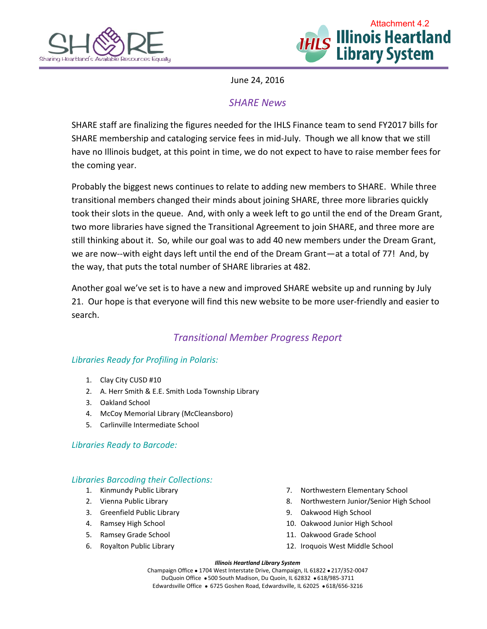



June 24, 2016

# *SHARE News*

SHARE staff are finalizing the figures needed for the IHLS Finance team to send FY2017 bills for SHARE membership and cataloging service fees in mid-July. Though we all know that we still have no Illinois budget, at this point in time, we do not expect to have to raise member fees for the coming year.

Probably the biggest news continues to relate to adding new members to SHARE. While three transitional members changed their minds about joining SHARE, three more libraries quickly took their slots in the queue. And, with only a week left to go until the end of the Dream Grant, two more libraries have signed the Transitional Agreement to join SHARE, and three more are still thinking about it. So, while our goal was to add 40 new members under the Dream Grant, we are now--with eight days left until the end of the Dream Grant—at a total of 77! And, by the way, that puts the total number of SHARE libraries at 482.

Another goal we've set is to have a new and improved SHARE website up and running by July 21. Our hope is that everyone will find this new website to be more user-friendly and easier to search.

# *Transitional Member Progress Report*

## *Libraries Ready for Profiling in Polaris:*

- 1. Clay City CUSD #10
- 2. A. Herr Smith & E.E. Smith Loda Township Library
- 3. Oakland School
- 4. McCoy Memorial Library (McCleansboro)
- 5. Carlinville Intermediate School

### *Libraries Ready to Barcode:*

## *Libraries Barcoding their Collections:*

- 1. Kinmundy Public Library
- 2. Vienna Public Library
- 3. Greenfield Public Library
- 4. Ramsey High School
- 5. Ramsey Grade School
- 6. Royalton Public Library
- 7. Northwestern Elementary School
- 8. Northwestern Junior/Senior High School
- 9. Oakwood High School
- 10. Oakwood Junior High School
- 11. Oakwood Grade School
- 12. Iroquois West Middle School

#### *Illinois Heartland Library System*

Champaign Office . 1704 West Interstate Drive, Champaign, IL 61822 . 217/352-0047 DuQuoin Office . 500 South Madison, Du Quoin, IL 62832 . 618/985-3711 Edwardsville Office · 6725 Goshen Road, Edwardsville, IL 62025 · 618/656-3216